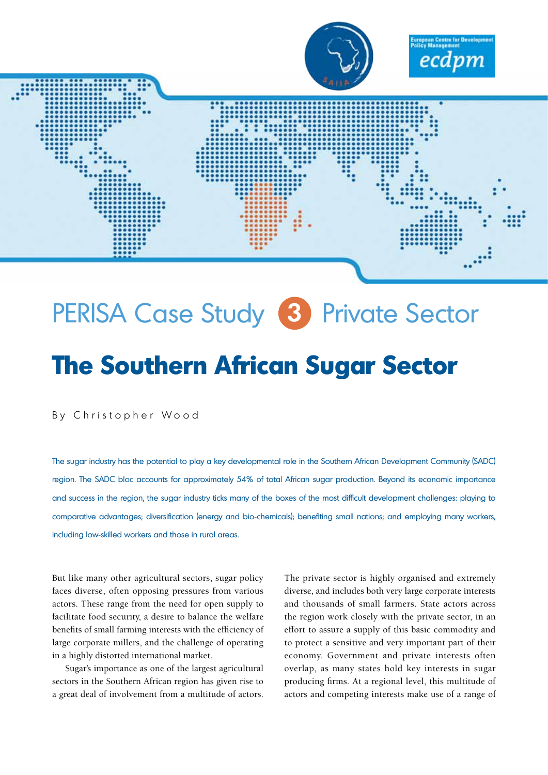

# PERISA Case Study **3** Private Sector

# **The Southern African Sugar Sector**

By Christopher Wood

The sugar industry has the potential to play a key developmental role in the Southern African Development Community (SADC) region. The SADC bloc accounts for approximately 54% of total African sugar production. Beyond its economic importance and success in the region, the sugar industry ticks many of the boxes of the most difficult development challenges: playing to comparative advantages; diversification (energy and bio-chemicals); benefiting small nations; and employing many workers, including low-skilled workers and those in rural areas.

But like many other agricultural sectors, sugar policy faces diverse, often opposing pressures from various actors. These range from the need for open supply to facilitate food security, a desire to balance the welfare benefits of small farming interests with the efficiency of large corporate millers, and the challenge of operating in a highly distorted international market.

Sugar's importance as one of the largest agricultural sectors in the Southern African region has given rise to a great deal of involvement from a multitude of actors.

The private sector is highly organised and extremely diverse, and includes both very large corporate interests and thousands of small farmers. State actors across the region work closely with the private sector, in an effort to assure a supply of this basic commodity and to protect a sensitive and very important part of their economy. Government and private interests often overlap, as many states hold key interests in sugar producing firms. At a regional level, this multitude of actors and competing interests make use of a range of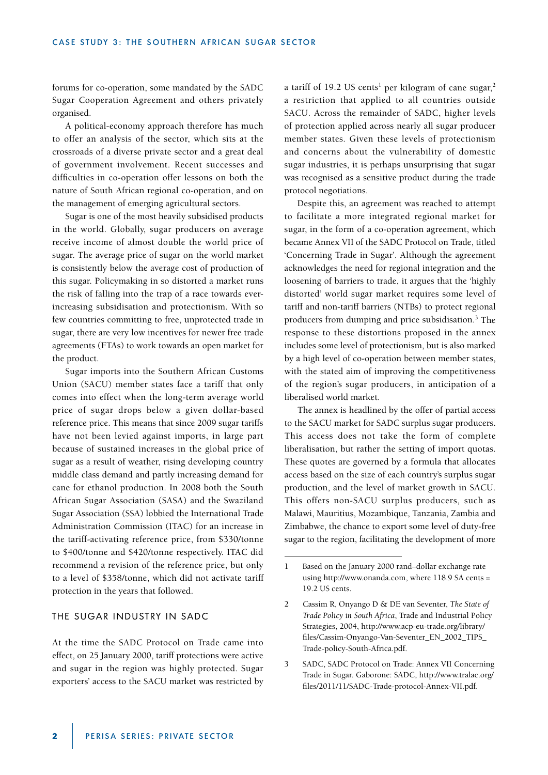forums for co-operation, some mandated by the SADC Sugar Cooperation Agreement and others privately organised.

A political-economy approach therefore has much to offer an analysis of the sector, which sits at the crossroads of a diverse private sector and a great deal of government involvement. Recent successes and difficulties in co-operation offer lessons on both the nature of South African regional co-operation, and on the management of emerging agricultural sectors.

Sugar is one of the most heavily subsidised products in the world. Globally, sugar producers on average receive income of almost double the world price of sugar. The average price of sugar on the world market is consistently below the average cost of production of this sugar. Policymaking in so distorted a market runs the risk of falling into the trap of a race towards everincreasing subsidisation and protectionism. With so few countries committing to free, unprotected trade in sugar, there are very low incentives for newer free trade agreements (FTAs) to work towards an open market for the product.

Sugar imports into the Southern African Customs Union (SACU) member states face a tariff that only comes into effect when the long-term average world price of sugar drops below a given dollar-based reference price. This means that since 2009 sugar tariffs have not been levied against imports, in large part because of sustained increases in the global price of sugar as a result of weather, rising developing country middle class demand and partly increasing demand for cane for ethanol production. In 2008 both the South African Sugar Association (SASA) and the Swaziland Sugar Association (SSA) lobbied the International Trade Administration Commission (ITAC) for an increase in the tariff-activating reference price, from \$330/tonne to \$400/tonne and \$420/tonne respectively. ITAC did recommend a revision of the reference price, but only to a level of \$358/tonne, which did not activate tariff protection in the years that followed.

# THE SUGAR INDUSTRY IN SADC

At the time the SADC Protocol on Trade came into effect, on 25 January 2000, tariff protections were active and sugar in the region was highly protected. Sugar exporters' access to the SACU market was restricted by

a tariff of 19.2 US cents<sup>1</sup> per kilogram of cane sugar,<sup>2</sup> a restriction that applied to all countries outside SACU. Across the remainder of SADC, higher levels of protection applied across nearly all sugar producer member states. Given these levels of protectionism and concerns about the vulnerability of domestic sugar industries, it is perhaps unsurprising that sugar was recognised as a sensitive product during the trade protocol negotiations.

Despite this, an agreement was reached to attempt to facilitate a more integrated regional market for sugar, in the form of a co-operation agreement, which became Annex VII of the SADC Protocol on Trade, titled 'Concerning Trade in Sugar'. Although the agreement acknowledges the need for regional integration and the loosening of barriers to trade, it argues that the 'highly distorted' world sugar market requires some level of tariff and non-tariff barriers (NTBs) to protect regional producers from dumping and price subsidisation.<sup>3</sup> The response to these distortions proposed in the annex includes some level of protectionism, but is also marked by a high level of co-operation between member states, with the stated aim of improving the competitiveness of the region's sugar producers, in anticipation of a liberalised world market.

The annex is headlined by the offer of partial access to the SACU market for SADC surplus sugar producers. This access does not take the form of complete liberalisation, but rather the setting of import quotas. These quotes are governed by a formula that allocates access based on the size of each country's surplus sugar production, and the level of market growth in SACU. This offers non-SACU surplus producers, such as Malawi, Mauritius, Mozambique, Tanzania, Zambia and Zimbabwe, the chance to export some level of duty-free sugar to the region, facilitating the development of more

<sup>1</sup> Based on the January 2000 rand–dollar exchange rate using http://www.onanda.com, where 118.9 SA cents = 19.2 US cents.

<sup>2</sup> Cassim R, Onyango D & DE van Seventer, *The State of Trade Policy in South Africa*, Trade and Industrial Policy Strategies, 2004, http://www.acp-eu-trade.org/library/ files/Cassim-Onyango-Van-Seventer\_EN\_2002\_TIPS\_ Trade-policy-South-Africa.pdf.

<sup>3</sup> SADC, SADC Protocol on Trade: Annex VII Concerning Trade in Sugar. Gaborone: SADC, http://www.tralac.org/ files/2011/11/SADC-Trade-protocol-Annex-VII.pdf.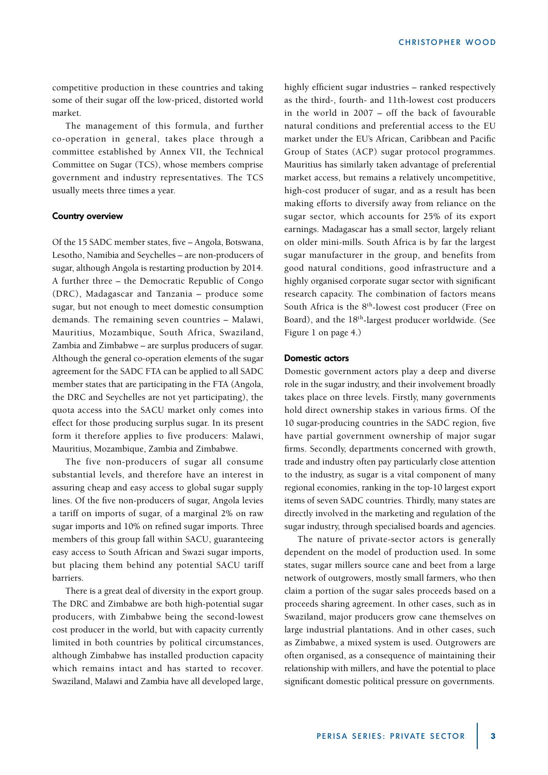competitive production in these countries and taking some of their sugar off the low-priced, distorted world market.

The management of this formula, and further co-operation in general, takes place through a committee established by Annex VII, the Technical Committee on Sugar (TCS), whose members comprise government and industry representatives. The TCS usually meets three times a year.

#### **Country overview**

Of the 15 SADC member states, five – Angola, Botswana, Lesotho, Namibia and Seychelles – are non-producers of sugar, although Angola is restarting production by 2014. A further three – the Democratic Republic of Congo (DRC), Madagascar and Tanzania – produce some sugar, but not enough to meet domestic consumption demands. The remaining seven countries – Malawi, Mauritius, Mozambique, South Africa, Swaziland, Zambia and Zimbabwe – are surplus producers of sugar. Although the general co-operation elements of the sugar agreement for the SADC FTA can be applied to all SADC member states that are participating in the FTA (Angola, the DRC and Seychelles are not yet participating), the quota access into the SACU market only comes into effect for those producing surplus sugar. In its present form it therefore applies to five producers: Malawi, Mauritius, Mozambique, Zambia and Zimbabwe.

The five non-producers of sugar all consume substantial levels, and therefore have an interest in assuring cheap and easy access to global sugar supply lines. Of the five non-producers of sugar, Angola levies a tariff on imports of sugar, of a marginal 2% on raw sugar imports and 10% on refined sugar imports. Three members of this group fall within SACU, guaranteeing easy access to South African and Swazi sugar imports, but placing them behind any potential SACU tariff barriers.

There is a great deal of diversity in the export group. The DRC and Zimbabwe are both high-potential sugar producers, with Zimbabwe being the second-lowest cost producer in the world, but with capacity currently limited in both countries by political circumstances, although Zimbabwe has installed production capacity which remains intact and has started to recover. Swaziland, Malawi and Zambia have all developed large,

highly efficient sugar industries – ranked respectively as the third-, fourth- and 11th-lowest cost producers in the world in 2007 – off the back of favourable natural conditions and preferential access to the EU market under the EU's African, Caribbean and Pacific Group of States (ACP) sugar protocol programmes. Mauritius has similarly taken advantage of preferential market access, but remains a relatively uncompetitive, high-cost producer of sugar, and as a result has been making efforts to diversify away from reliance on the sugar sector, which accounts for 25% of its export earnings. Madagascar has a small sector, largely reliant on older mini-mills. South Africa is by far the largest sugar manufacturer in the group, and benefits from good natural conditions, good infrastructure and a highly organised corporate sugar sector with significant research capacity. The combination of factors means South Africa is the 8<sup>th</sup>-lowest cost producer (Free on Board), and the 18th-largest producer worldwide. (See Figure 1 on page 4.)

## **Domestic actors**

Domestic government actors play a deep and diverse role in the sugar industry, and their involvement broadly takes place on three levels. Firstly, many governments hold direct ownership stakes in various firms. Of the 10 sugar-producing countries in the SADC region, five have partial government ownership of major sugar firms. Secondly, departments concerned with growth, trade and industry often pay particularly close attention to the industry, as sugar is a vital component of many regional economies, ranking in the top-10 largest export items of seven SADC countries. Thirdly, many states are directly involved in the marketing and regulation of the sugar industry, through specialised boards and agencies.

The nature of private-sector actors is generally dependent on the model of production used. In some states, sugar millers source cane and beet from a large network of outgrowers, mostly small farmers, who then claim a portion of the sugar sales proceeds based on a proceeds sharing agreement. In other cases, such as in Swaziland, major producers grow cane themselves on large industrial plantations. And in other cases, such as Zimbabwe, a mixed system is used. Outgrowers are often organised, as a consequence of maintaining their relationship with millers, and have the potential to place significant domestic political pressure on governments.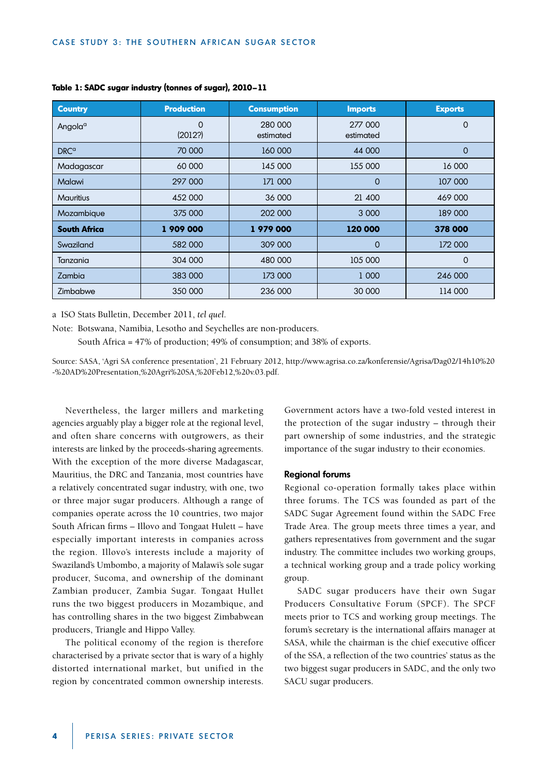| <b>Country</b>      | <b>Production</b> | <b>Consumption</b>   | <b>Imports</b>       | <b>Exports</b> |
|---------------------|-------------------|----------------------|----------------------|----------------|
| Angola <sup>a</sup> | 0<br>(2012?)      | 280 000<br>estimated | 277 000<br>estimated | $\Omega$       |
| DRC <sup>a</sup>    | 70 000            | 160 000              | 44 000               | $\Omega$       |
| Madagascar          | 60 000            | 145 000              | 155 000              | 16 000         |
| Malawi              | 297 000           | 171 000              | $\Omega$             | 107 000        |
| <b>Mauritius</b>    | 452 000           | 36 000               | 21 400               | 469 000        |
| Mozambique          | 375 000           | 202 000              | 3 0 0 0              | 189 000        |
| <b>South Africa</b> | 1 909 000         | 1979000              | 120 000              | 378 000        |
| Swaziland           | 582 000           | 309 000              | $\Omega$             | 172 000        |
| Tanzania            | 304 000           | 480 000              | 105 000              | $\Omega$       |
| Zambia              | 383 000           | 173 000              | 1 000                | 246 000        |
| Zimbabwe            | 350 000           | 236 000              | 30 000               | 114 000        |

#### **Table 1: SADC sugar industry (tonnes of sugar), 2010–11**

a ISO Stats Bulletin, December 2011, *tel quel*.

Note: Botswana, Namibia, Lesotho and Seychelles are non-producers.

South Africa = 47% of production; 49% of consumption; and 38% of exports.

Source: SASA, 'Agri SA conference presentation', 21 February 2012, http://www.agrisa.co.za/konferensie/Agrisa/Dag02/14h10%20 -%20AD%20Presentation,%20Agri%20SA,%20Feb12,%20v.03.pdf.

Nevertheless, the larger millers and marketing agencies arguably play a bigger role at the regional level, and often share concerns with outgrowers, as their interests are linked by the proceeds-sharing agreements. With the exception of the more diverse Madagascar, Mauritius, the DRC and Tanzania, most countries have a relatively concentrated sugar industry, with one, two or three major sugar producers. Although a range of companies operate across the 10 countries, two major South African firms – Illovo and Tongaat Hulett – have especially important interests in companies across the region. Illovo's interests include a majority of Swaziland's Umbombo, a majority of Malawi's sole sugar producer, Sucoma, and ownership of the dominant Zambian producer, Zambia Sugar. Tongaat Hullet runs the two biggest producers in Mozambique, and has controlling shares in the two biggest Zimbabwean producers, Triangle and Hippo Valley.

The political economy of the region is therefore characterised by a private sector that is wary of a highly distorted international market, but unified in the region by concentrated common ownership interests.

Government actors have a two-fold vested interest in the protection of the sugar industry – through their part ownership of some industries, and the strategic importance of the sugar industry to their economies.

#### **Regional forums**

Regional co-operation formally takes place within three forums. The TCS was founded as part of the SADC Sugar Agreement found within the SADC Free Trade Area. The group meets three times a year, and gathers representatives from government and the sugar industry. The committee includes two working groups, a technical working group and a trade policy working group.

SADC sugar producers have their own Sugar Producers Consultative Forum (SPCF). The SPCF meets prior to TCS and working group meetings. The forum's secretary is the international affairs manager at SASA, while the chairman is the chief executive officer of the SSA, a reflection of the two countries' status as the two biggest sugar producers in SADC, and the only two SACU sugar producers.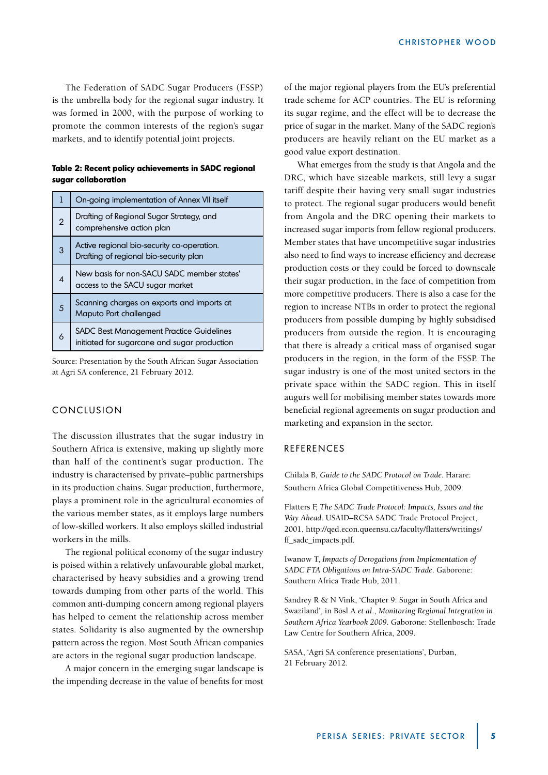The Federation of SADC Sugar Producers (FSSP) is the umbrella body for the regional sugar industry. It was formed in 2000, with the purpose of working to promote the common interests of the region's sugar markets, and to identify potential joint projects.

**Table 2: Recent policy achievements in SADC regional sugar collaboration**

| ı | On-going implementation of Annex VII itself                                                     |  |
|---|-------------------------------------------------------------------------------------------------|--|
| 2 | Drafting of Regional Sugar Strategy, and<br>comprehensive action plan                           |  |
| 3 | Active regional bio-security co-operation.<br>Drafting of regional bio-security plan            |  |
| 4 | New basis for non-SACU SADC member states'<br>access to the SACU sugar market                   |  |
| 5 | Scanning charges on exports and imports at<br>Maputo Port challenged                            |  |
| 6 | <b>SADC Best Management Practice Guidelines</b><br>initiated for sugarcane and sugar production |  |

Source: Presentation by the South African Sugar Association at Agri SA conference, 21 February 2012.

# CONCLUSION

The discussion illustrates that the sugar industry in Southern Africa is extensive, making up slightly more than half of the continent's sugar production. The industry is characterised by private–public partnerships in its production chains. Sugar production, furthermore, plays a prominent role in the agricultural economies of the various member states, as it employs large numbers of low-skilled workers. It also employs skilled industrial workers in the mills.

The regional political economy of the sugar industry is poised within a relatively unfavourable global market, characterised by heavy subsidies and a growing trend towards dumping from other parts of the world. This common anti-dumping concern among regional players has helped to cement the relationship across member states. Solidarity is also augmented by the ownership pattern across the region. Most South African companies are actors in the regional sugar production landscape.

A major concern in the emerging sugar landscape is the impending decrease in the value of benefits for most of the major regional players from the EU's preferential trade scheme for ACP countries. The EU is reforming its sugar regime, and the effect will be to decrease the price of sugar in the market. Many of the SADC region's producers are heavily reliant on the EU market as a good value export destination.

What emerges from the study is that Angola and the DRC, which have sizeable markets, still levy a sugar tariff despite their having very small sugar industries to protect. The regional sugar producers would benefit from Angola and the DRC opening their markets to increased sugar imports from fellow regional producers. Member states that have uncompetitive sugar industries also need to find ways to increase efficiency and decrease production costs or they could be forced to downscale their sugar production, in the face of competition from more competitive producers. There is also a case for the region to increase NTBs in order to protect the regional producers from possible dumping by highly subsidised producers from outside the region. It is encouraging that there is already a critical mass of organised sugar producers in the region, in the form of the FSSP. The sugar industry is one of the most united sectors in the private space within the SADC region. This in itself augurs well for mobilising member states towards more beneficial regional agreements on sugar production and marketing and expansion in the sector.

# REFERENCES

Chilala B, *Guide to the SADC Protocol on Trade*. Harare: Southern Africa Global Competitiveness Hub, 2009.

Flatters F, *The SADC Trade Protocol: Impacts, Issues and the Way Ahead*. USAID–RCSA SADC Trade Protocol Project, 2001, http://qed.econ.queensu.ca/faculty/flatters/writings/ ff\_sadc\_impacts.pdf.

Iwanow T, *Impacts of Derogations from Implementation of SADC FTA Obligations on Intra-SADC Trade*. Gaborone: Southern Africa Trade Hub, 2011.

Sandrey R & N Vink, 'Chapter 9: Sugar in South Africa and Swaziland', in Bösl A *et al*., *Monitoring Regional Integration in Southern Africa Yearbook 2009*. Gaborone: Stellenbosch: Trade Law Centre for Southern Africa, 2009.

SASA, 'Agri SA conference presentations', Durban, 21 February 2012.